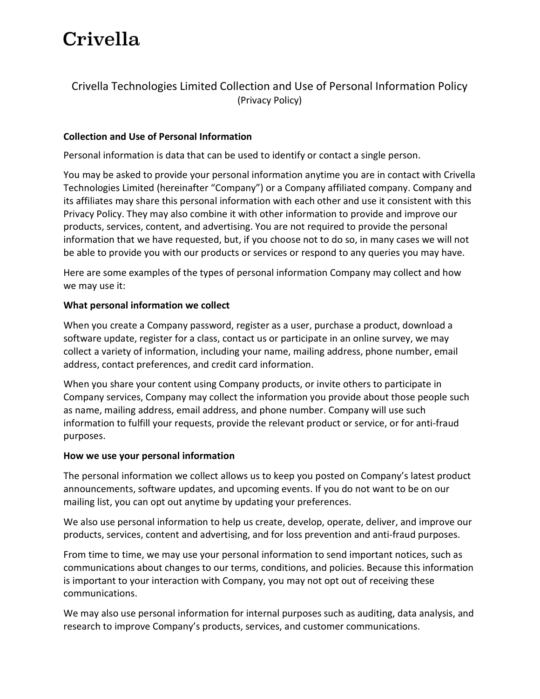# Crivella

# Crivella Technologies Limited Collection and Use of Personal Information Policy (Privacy Policy)

#### Collection and Use of Personal Information

Personal information is data that can be used to identify or contact a single person.

You may be asked to provide your personal information anytime you are in contact with Crivella Technologies Limited (hereinafter "Company") or a Company affiliated company. Company and its affiliates may share this personal information with each other and use it consistent with this Privacy Policy. They may also combine it with other information to provide and improve our products, services, content, and advertising. You are not required to provide the personal information that we have requested, but, if you choose not to do so, in many cases we will not be able to provide you with our products or services or respond to any queries you may have.

Here are some examples of the types of personal information Company may collect and how we may use it:

#### What personal information we collect

When you create a Company password, register as a user, purchase a product, download a software update, register for a class, contact us or participate in an online survey, we may collect a variety of information, including your name, mailing address, phone number, email address, contact preferences, and credit card information.

When you share your content using Company products, or invite others to participate in Company services, Company may collect the information you provide about those people such as name, mailing address, email address, and phone number. Company will use such information to fulfill your requests, provide the relevant product or service, or for anti-fraud purposes.

#### How we use your personal information

The personal information we collect allows us to keep you posted on Company's latest product announcements, software updates, and upcoming events. If you do not want to be on our mailing list, you can opt out anytime by updating your preferences.

We also use personal information to help us create, develop, operate, deliver, and improve our products, services, content and advertising, and for loss prevention and anti-fraud purposes.

From time to time, we may use your personal information to send important notices, such as communications about changes to our terms, conditions, and policies. Because this information is important to your interaction with Company, you may not opt out of receiving these communications.

We may also use personal information for internal purposes such as auditing, data analysis, and research to improve Company's products, services, and customer communications.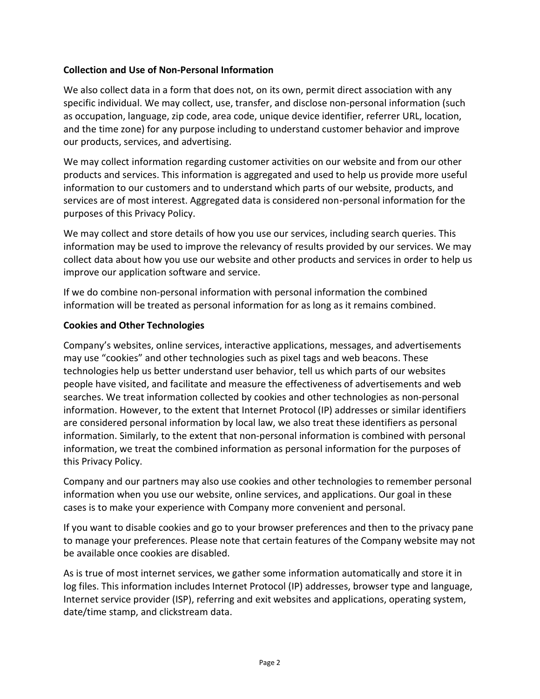### Collection and Use of Non-Personal Information

We also collect data in a form that does not, on its own, permit direct association with any specific individual. We may collect, use, transfer, and disclose non-personal information (such as occupation, language, zip code, area code, unique device identifier, referrer URL, location, and the time zone) for any purpose including to understand customer behavior and improve our products, services, and advertising.

We may collect information regarding customer activities on our website and from our other products and services. This information is aggregated and used to help us provide more useful information to our customers and to understand which parts of our website, products, and services are of most interest. Aggregated data is considered non-personal information for the purposes of this Privacy Policy.

We may collect and store details of how you use our services, including search queries. This information may be used to improve the relevancy of results provided by our services. We may collect data about how you use our website and other products and services in order to help us improve our application software and service.

If we do combine non-personal information with personal information the combined information will be treated as personal information for as long as it remains combined.

#### Cookies and Other Technologies

Company's websites, online services, interactive applications, messages, and advertisements may use "cookies" and other technologies such as pixel tags and web beacons. These technologies help us better understand user behavior, tell us which parts of our websites people have visited, and facilitate and measure the effectiveness of advertisements and web searches. We treat information collected by cookies and other technologies as non-personal information. However, to the extent that Internet Protocol (IP) addresses or similar identifiers are considered personal information by local law, we also treat these identifiers as personal information. Similarly, to the extent that non-personal information is combined with personal information, we treat the combined information as personal information for the purposes of this Privacy Policy.

Company and our partners may also use cookies and other technologies to remember personal information when you use our website, online services, and applications. Our goal in these cases is to make your experience with Company more convenient and personal.

If you want to disable cookies and go to your browser preferences and then to the privacy pane to manage your preferences. Please note that certain features of the Company website may not be available once cookies are disabled.

As is true of most internet services, we gather some information automatically and store it in log files. This information includes Internet Protocol (IP) addresses, browser type and language, Internet service provider (ISP), referring and exit websites and applications, operating system, date/time stamp, and clickstream data.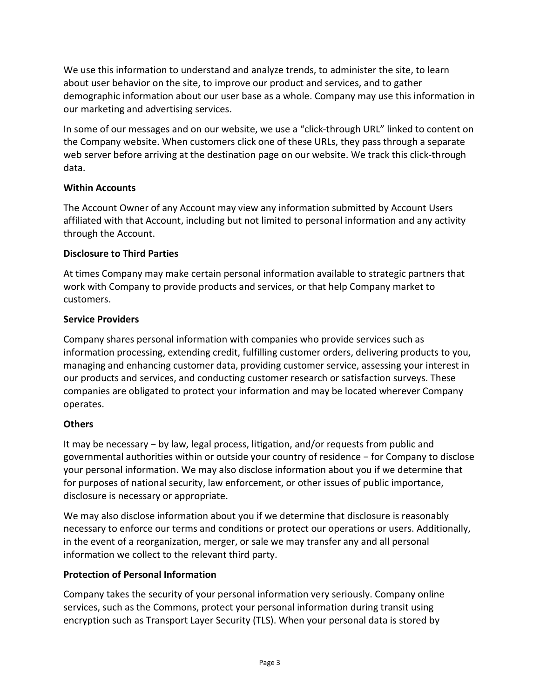We use this information to understand and analyze trends, to administer the site, to learn about user behavior on the site, to improve our product and services, and to gather demographic information about our user base as a whole. Company may use this information in our marketing and advertising services.

In some of our messages and on our website, we use a "click-through URL" linked to content on the Company website. When customers click one of these URLs, they pass through a separate web server before arriving at the destination page on our website. We track this click-through data.

#### Within Accounts

The Account Owner of any Account may view any information submitted by Account Users affiliated with that Account, including but not limited to personal information and any activity through the Account.

## Disclosure to Third Parties

At times Company may make certain personal information available to strategic partners that work with Company to provide products and services, or that help Company market to customers.

## Service Providers

Company shares personal information with companies who provide services such as information processing, extending credit, fulfilling customer orders, delivering products to you, managing and enhancing customer data, providing customer service, assessing your interest in our products and services, and conducting customer research or satisfaction surveys. These companies are obligated to protect your information and may be located wherever Company operates.

## **Others**

It may be necessary – by law, legal process, litigation, and/or requests from public and governmental authorities within or outside your country of residence − for Company to disclose your personal information. We may also disclose information about you if we determine that for purposes of national security, law enforcement, or other issues of public importance, disclosure is necessary or appropriate.

We may also disclose information about you if we determine that disclosure is reasonably necessary to enforce our terms and conditions or protect our operations or users. Additionally, in the event of a reorganization, merger, or sale we may transfer any and all personal information we collect to the relevant third party.

# Protection of Personal Information

Company takes the security of your personal information very seriously. Company online services, such as the Commons, protect your personal information during transit using encryption such as Transport Layer Security (TLS). When your personal data is stored by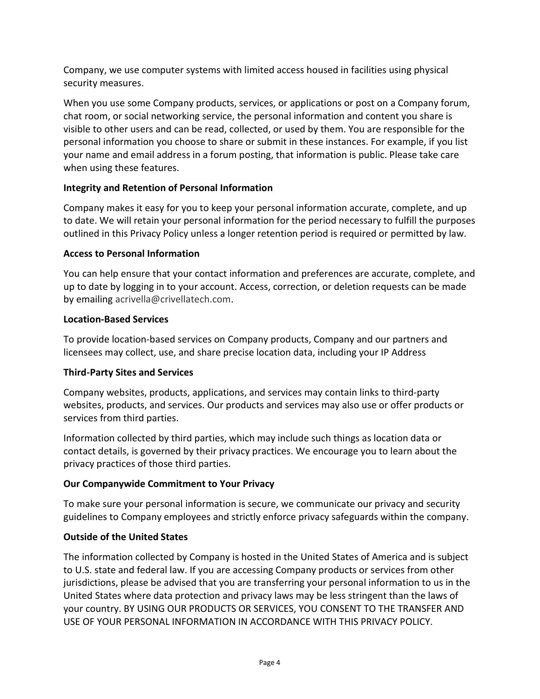Company, we use computer systems with limited access housed in facilities using physical security measures.

When you use some Company products, services, or applications or post on a Company forum, chat room, or social networking service, the personal information and content you share is visible to other users and can be read, collected, or used by them. You are responsible for the personal information you choose to share or submit in these instances. For example, if you list your name and email address in a forum posting, that information is public. Please take care when using these features.

# Integrity and Retention of Personal Information

Company makes it easy for you to keep your personal information accurate, complete, and up to date. We will retain your personal information for the period necessary to fulfill the purposes outlined in this Privacy Policy unless a longer retention period is required or permitted by law.

# Access to Personal Information

You can help ensure that your contact information and preferences are accurate, complete, and up to date by logging in to your account. Access, correction, or deletion requests can be made by emailing acrivella@crivellatech.com.

# Location-Based Services

To provide location-based services on Company products, Company and our partners and licensees may collect, use, and share precise location data, including your IP Address

# Third‑Party Sites and Services

Company websites, products, applications, and services may contain links to third-party websites, products, and services. Our products and services may also use or offer products or services from third parties.

Information collected by third parties, which may include such things as location data or contact details, is governed by their privacy practices. We encourage you to learn about the privacy practices of those third parties.

# Our Companywide Commitment to Your Privacy

To make sure your personal information is secure, we communicate our privacy and security guidelines to Company employees and strictly enforce privacy safeguards within the company.

# Outside of the United States

The information collected by Company is hosted in the United States of America and is subject to U.S. state and federal law. If you are accessing Company products or services from other jurisdictions, please be advised that you are transferring your personal information to us in the United States where data protection and privacy laws may be less stringent than the laws of your country. BY USING OUR PRODUCTS OR SERVICES, YOU CONSENT TO THE TRANSFER AND USE OF YOUR PERSONAL INFORMATION IN ACCORDANCE WITH THIS PRIVACY POLICY.